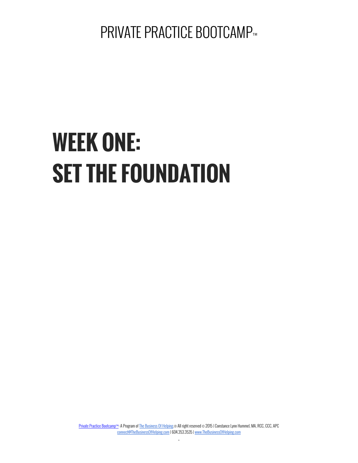# **WEEK ONE: SET THE FOUNDATION**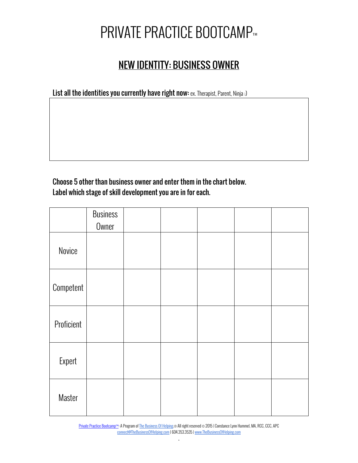#### NEW IDENTITY: BUSINESS OWNER

List all the identities you currently have right now: ex. Therapist, Parent, Ninja :)

Choose 5 other than business owner and enter them in the chart below. Label which stage of skill development you are in for each.

|            | <b>Business</b><br>Owner |  |  |  |
|------------|--------------------------|--|--|--|
| Novice     |                          |  |  |  |
| Competent  |                          |  |  |  |
| Proficient |                          |  |  |  |
| Expert     |                          |  |  |  |
| Master     |                          |  |  |  |

Private Practice Bootcamp™: A Program of The Business Of Helping.® All right reserved © 2015 | Constance Lynn Hummel, MA, RCC, CCC, APC connect@TheBusinessOfHelping.com | 604.353.3535 | www.TheBusinessOfHelping.com .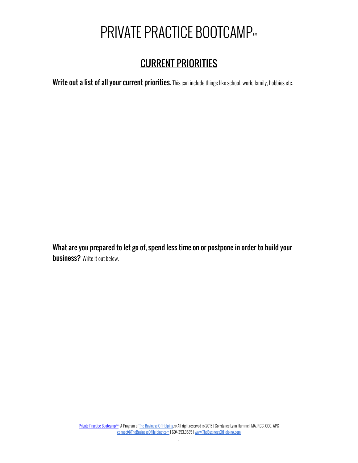#### CURRENT PRIORITIES

Write out a list of all your current priorities. This can include things like school, work, family, hobbies etc.

What are you prepared to let go of, spend less time on or postpone in order to build your **business?** Write it out below.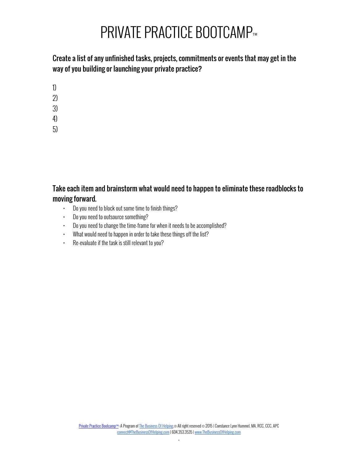Create a list of any unfinished tasks, projects, commitments or events that may get in the way of you building or launching your private practice?

- 1)
- 2)
- 3)
- 4)
- 5)

Take each item and brainstorm what would need to happen to eliminate these roadblocks to moving forward.

- Do you need to block out some time to finish things?
- Do you need to outsource something?
- Do you need to change the time-frame for when it needs to be accomplished?
- What would need to happen in order to take these things off the list?
- Re-evaluate if the task is still relevant to you?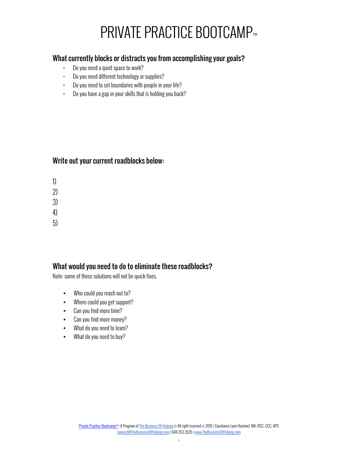#### What currently blocks or distracts you from accomplishing your goals?

- Do you need a quiet space to work?
- Do you need different technology or supplies?
- Do you need to set boundaries with people in your life?
- Do you have a gap in your skills that is holding you back?

#### Write out your current roadblocks below:

- 1)
- 2)
- 3)
- 4)
- 5)

#### What would you need to do to eliminate these roadblocks?

Note: some of these solutions will not be quick fixes.

- Who could you reach out to?
- Where could you get support?
- Can you find more time?
- Can you find more money?
- What do you need to learn?
- What do you need to buy?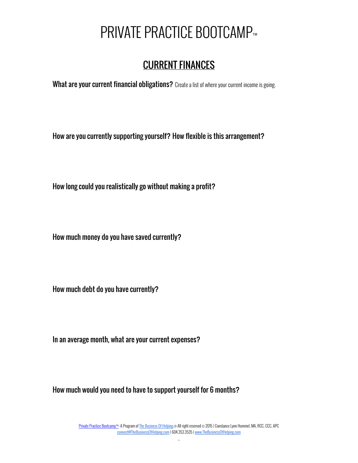## CURRENT FINANCES

What are your current financial obligations? Create a list of where your current income is going.

How are you currently supporting yourself? How flexible is this arrangement?

How long could you realistically go without making a profit?

How much money do you have saved currently?

How much debt do you have currently?

In an average month, what are your current expenses?

How much would you need to have to support yourself for 6 months?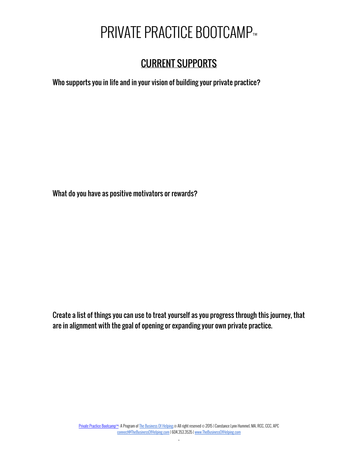### CURRENT SUPPORTS

Who supports you in life and in your vision of building your private practice?

What do you have as positive motivators or rewards?

Create a list of things you can use to treat yourself as you progress through this journey, that are in alignment with the goal of opening or expanding your own private practice.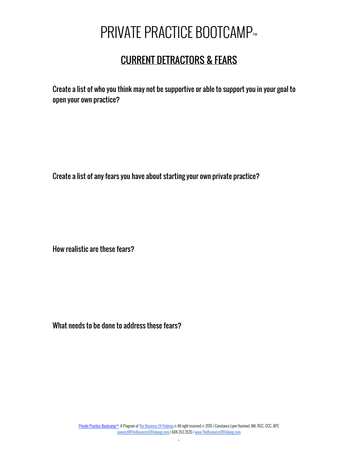#### CURRENT DETRACTORS & FEARS

Create a list of who you think may not be supportive or able to support you in your goal to open your own practice?

Create a list of any fears you have about starting your own private practice?

How realistic are these fears?

What needs to be done to address these fears?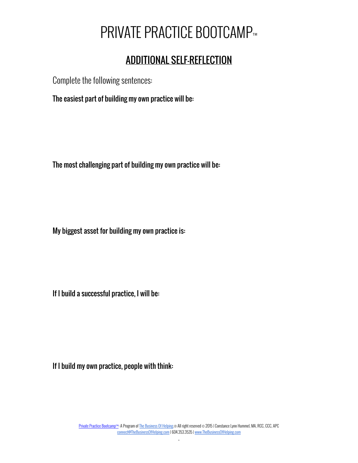#### ADDITIONAL SELF-REFLECTION

Complete the following sentences:

The easiest part of building my own practice will be:

The most challenging part of building my own practice will be:

My biggest asset for building my own practice is:

If I build a successful practice, I will be:

If I build my own practice, people with think: